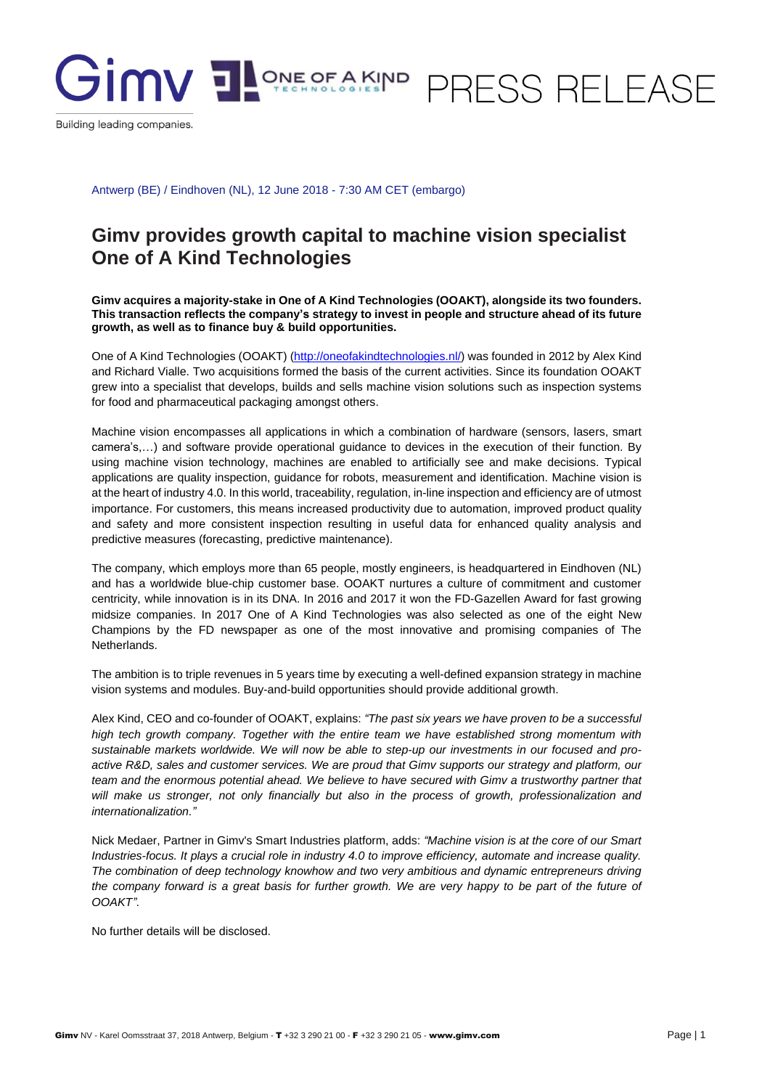

Building leading companies.

Antwerp (BE) / Eindhoven (NL), 12 June 2018 - 7:30 AM CET (embargo)

## **Gimv provides growth capital to machine vision specialist One of A Kind Technologies**

**Gimv acquires a majority-stake in One of A Kind Technologies (OOAKT), alongside its two founders. This transaction reflects the company's strategy to invest in people and structure ahead of its future growth, as well as to finance buy & build opportunities.**

One of A Kind Technologies (OOAKT) [\(http://oneofakindtechnologies.nl/\)](http://oneofakindtechnologies.nl/) was founded in 2012 by Alex Kind and Richard Vialle. Two acquisitions formed the basis of the current activities. Since its foundation OOAKT grew into a specialist that develops, builds and sells machine vision solutions such as inspection systems for food and pharmaceutical packaging amongst others.

Machine vision encompasses all applications in which a combination of hardware (sensors, lasers, smart camera's,…) and software provide operational guidance to devices in the execution of their function. By using machine vision technology, machines are enabled to artificially see and make decisions. Typical applications are quality inspection, guidance for robots, measurement and identification. Machine vision is at the heart of industry 4.0. In this world, traceability, regulation, in-line inspection and efficiency are of utmost importance. For customers, this means increased productivity due to automation, improved product quality and safety and more consistent inspection resulting in useful data for enhanced quality analysis and predictive measures (forecasting, predictive maintenance).

The company, which employs more than 65 people, mostly engineers, is headquartered in Eindhoven (NL) and has a worldwide blue-chip customer base. OOAKT nurtures a culture of commitment and customer centricity, while innovation is in its DNA. In 2016 and 2017 it won the FD-Gazellen Award for fast growing midsize companies. In 2017 One of A Kind Technologies was also selected as one of the eight New Champions by the FD newspaper as one of the most innovative and promising companies of The Netherlands.

The ambition is to triple revenues in 5 years time by executing a well-defined expansion strategy in machine vision systems and modules. Buy-and-build opportunities should provide additional growth.

Alex Kind, CEO and co-founder of OOAKT, explains: *"The past six years we have proven to be a successful*  high tech growth company. Together with the entire team we have established strong momentum with *sustainable markets worldwide. We will now be able to step-up our investments in our focused and proactive R&D, sales and customer services. We are proud that Gimv supports our strategy and platform, our team and the enormous potential ahead. We believe to have secured with Gimv a trustworthy partner that will make us stronger, not only financially but also in the process of growth, professionalization and internationalization."*

Nick Medaer, Partner in Gimv's Smart Industries platform, adds: *"Machine vision is at the core of our Smart Industries-focus. It plays a crucial role in industry 4.0 to improve efficiency, automate and increase quality. The combination of deep technology knowhow and two very ambitious and dynamic entrepreneurs driving the company forward is a great basis for further growth. We are very happy to be part of the future of OOAKT"*.

No further details will be disclosed.